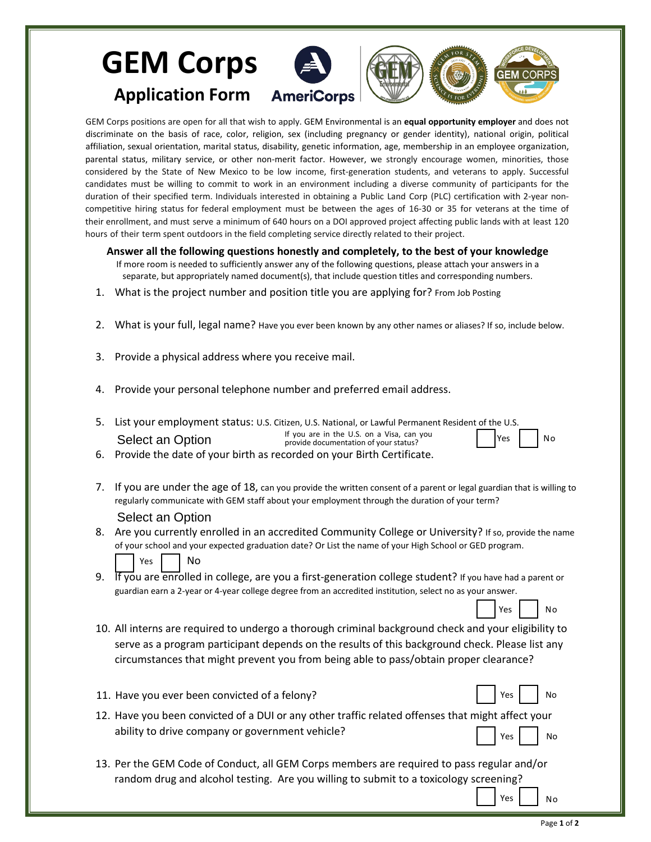## **GEM Corps** GFM C∩ **Application Form**

GEM Corps positions are open for all that wish to apply. GEM Environmental is an **equal opportunity employer** and does not discriminate on the basis of race, color, religion, sex (including pregnancy or gender identity), national origin, political affiliation, sexual orientation, marital status, disability, genetic information, age, membership in an employee organization, parental status, military service, or other non-merit factor. However, we strongly encourage women, minorities, those considered by the State of New Mexico to be low income, first-generation students, and veterans to apply. Successful candidates must be willing to commit to work in an environment including a diverse community of participants for the duration of their specified term. Individuals interested in obtaining a Public Land Corp (PLC) certification with 2-year noncompetitive hiring status for federal employment must be between the ages of 16-30 or 35 for veterans at the time of their enrollment, and must serve a minimum of 640 hours on a DOI approved project affecting public lands with at least 120 hours of their term spent outdoors in the field completing service directly related to their project.

**Answer all the following questions honestly and completely, to the best of your knowledge**

- If more room is needed to sufficiently answer any of the following questions, please attach your answers in a separate, but appropriately named document(s), that include question titles and corresponding numbers.
- 1. What is the project number and position title you are applying for? From Job Posting
- 2. What is your full, legal name? Have you ever been known by any other names or aliases? If so, include below.
- 3. Provide a physical address where you receive mail.
- 4. Provide your personal telephone number and preferred email address.
- 5. List your employment status: U.S. Citizen, U.S. National, or Lawful Permanent Resident of the U.S. If you are in the U.S. on a Visa, can you provide documentation of your status? Select an Option Yes II No

6. Provide the date of your birth as recorded on your Birth Certificate.

- 7. If you are under the age of 18, can you provide the written consent of a parent or legal guardian that is willing to regularly communicate with GEM staff about your employment through the duration of your term? Select an Option
- 8. Are you currently enrolled in an accredited Community College or University? If so, provide the name of your school and your expected graduation date? Or List the name of your High School or GED program. Yes | | No
- 9. If you are enrolled in college, are you a first-generation college student? If you have had a parent or guardian earn a 2-year or 4-year college degree from an accredited institution, select no as your answer.
- 10. All interns are required to undergo a thorough criminal background check and your eligibility to serve as a program participant depends on the results of this background check. Please list any circumstances that might prevent you from being able to pass/obtain proper clearance?
- 11. Have you ever been convicted of a felony? The same state of a set of a felony?
- 12. Have you been convicted of a DUI or any other traffic related offenses that might affect your ability to drive company or government vehicle? Yes | No
- 13. Per the GEM Code of Conduct, all GEM Corps members are required to pass regular and/or random drug and alcohol testing. Are you willing to submit to a toxicology screening?

Yes No

Yes | | No